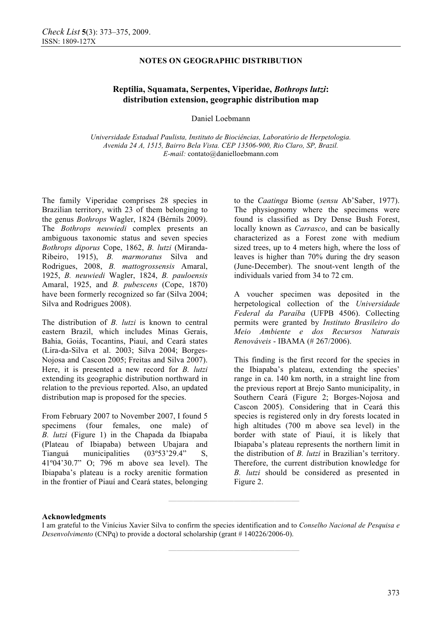### **NOTES ON GEOGRAPHIC DISTRIBUTION**

# **Reptilia, Squamata, Serpentes, Viperidae,** *Bothrops lutzi***: distribution extension, geographic distribution map**

Daniel Loebmann

*Universidade Estadual Paulista, Instituto de Biociências, Laboratório de Herpetologia. Avenida 24 A, 1515, Bairro Bela Vista. CEP 13506-900, Rio Claro, SP, Brazil. E-mail:* contato@danielloebmann.com

The family Viperidae comprises 28 species in Brazilian territory, with 23 of them belonging to the genus *Bothrops* Wagler, 1824 (Bérnils 2009). The *Bothrops neuwiedi* complex presents an ambiguous taxonomic status and seven species *Bothrops diporus* Cope, 1862, *B. lutzi* (Miranda-Ribeiro, 1915), *B. marmoratus* Silva and Rodrigues, 2008, *B. mattogrossensis* Amaral, 1925, *B. neuwiedi* Wagler, 1824, *B. pauloensis* Amaral, 1925, and *B. pubescens* (Cope, 1870) have been formerly recognized so far (Silva 2004; Silva and Rodrigues 2008).

The distribution of *B. lutzi* is known to central eastern Brazil, which includes Minas Gerais, Bahia, Goiás, Tocantins, Piauí, and Ceará states (Lira-da-Silva et al. 2003; Silva 2004; Borges-Nojosa and Cascon 2005; Freitas and Silva 2007). Here, it is presented a new record for *B. lutzi* extending its geographic distribution northward in relation to the previous reported. Also, an updated distribution map is proposed for the species.

From February 2007 to November 2007, I found 5 specimens (four females, one male) of *B. lutzi* (Figure 1) in the Chapada da Ibiapaba (Plateau of Ibiapaba) between Ubajara and Tianguá municipalities (03º53'29.4" S, 41º04'30.7" O; 796 m above sea level). The Ibiapaba's plateau is a rocky arenitic formation in the frontier of Piauí and Ceará states, belonging

to the *Caatinga* Biome (*sensu* Ab'Saber, 1977). The physiognomy where the specimens were found is classified as Dry Dense Bush Forest, locally known as *Carrasco*, and can be basically characterized as a Forest zone with medium sized trees, up to 4 meters high, where the loss of leaves is higher than 70% during the dry season (June-December). The snout-vent length of the individuals varied from 34 to 72 cm.

A voucher specimen was deposited in the herpetological collection of the *Universidade Federal da Paraíba* (UFPB 4506). Collecting permits were granted by *Instituto Brasileiro do Meio Ambiente e dos Recursos Naturais Renováveis* - IBAMA (# 267/2006).

This finding is the first record for the species in the Ibiapaba's plateau, extending the species' range in ca. 140 km north, in a straight line from the previous report at Brejo Santo municipality, in Southern Ceará (Figure 2; Borges-Nojosa and Cascon 2005). Considering that in Ceará this species is registered only in dry forests located in high altitudes (700 m above sea level) in the border with state of Piauí, it is likely that Ibiapaba's plateau represents the northern limit in the distribution of *B. lutzi* in Brazilian's territory. Therefore, the current distribution knowledge for *B. lutzi* should be considered as presented in Figure 2.

#### **Acknowledgments**

**————————————————** 

**————————————————** 

I am grateful to the Vinícius Xavier Silva to confirm the species identification and to *Conselho Nacional de Pesquisa e Desenvolvimento* (CNPq) to provide a doctoral scholarship (grant # 140226/2006-0).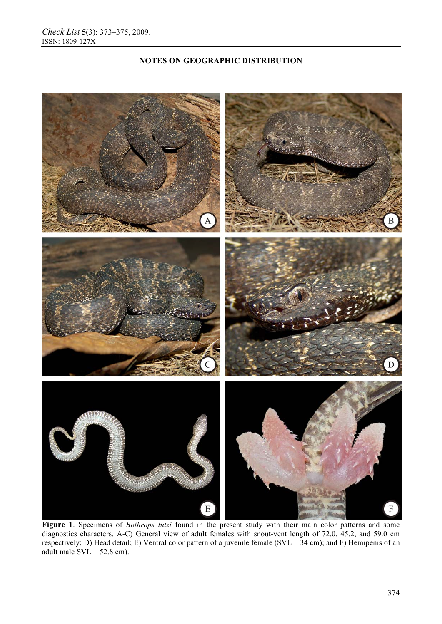# **NOTES ON GEOGRAPHIC DISTRIBUTION**



Figure 1. Specimens of *Bothrops lutzi* found in the present study with their main color patterns and some diagnostics characters. A-C) General view of adult females with snout-vent length of 72.0, 45.2, and 59.0 cm respectively; D) Head detail; E) Ventral color pattern of a juvenile female (SVL =  $34$  cm); and F) Hemipenis of an adult male  $SVL = 52.8$  cm).